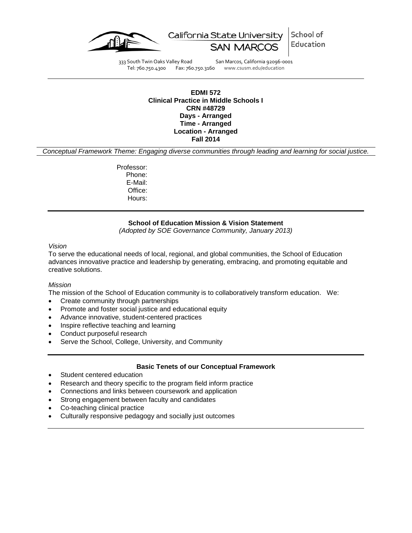



333 South Twin Oaks Valley Road San Marcos, California 92096-0001<br>Tel: 760.750.4300 Fax: 760.750.3160 www.csusm.edu/education Fax: 760.750.3160 www.csusm.edu/education

### **EDMI 572 Clinical Practice in Middle Schools I CRN #48729 Days - Arranged Time - Arranged Location - Arranged Fall 2014**

*Conceptual Framework Theme: Engaging diverse communities through leading and learning for social justice.*

Professor: Phone: E-Mail: Office: Hours:

## **School of Education Mission & Vision Statement**

*(Adopted by SOE Governance Community, January 2013)*

#### *Vision*

To serve the educational needs of local, regional, and global communities, the School of Education advances innovative practice and leadership by generating, embracing, and promoting equitable and creative solutions.

### *Mission*

The mission of the School of Education community is to collaboratively transform education. We:

- Create community through partnerships
- Promote and foster social justice and educational equity
- Advance innovative, student-centered practices
- Inspire reflective teaching and learning
- Conduct purposeful research
- Serve the School, College, University, and Community

### **Basic Tenets of our Conceptual Framework**

- Student centered education
- Research and theory specific to the program field inform practice
- Connections and links between coursework and application
- Strong engagement between faculty and candidates
- Co-teaching clinical practice
- Culturally responsive pedagogy and socially just outcomes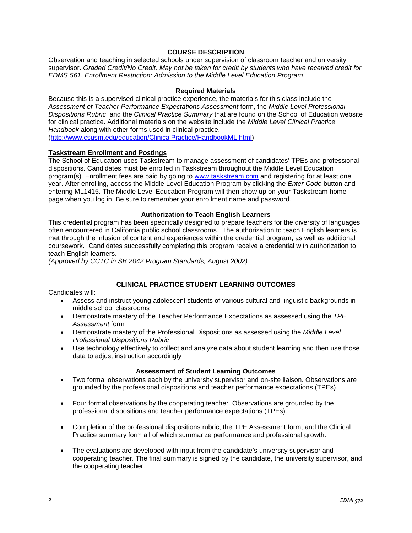### **COURSE DESCRIPTION**

Observation and teaching in selected schools under supervision of classroom teacher and university supervisor. *Graded Credit/No Credit. May not be taken for credit by students who have received credit for EDMS 561. Enrollment Restriction: Admission to the Middle Level Education Program.*

### **Required Materials**

Because this is a supervised clinical practice experience, the materials for this class include the *Assessment of Teacher Performance Expectations Assessment* form, the *Middle Level Professional Dispositions Rubric*, and the *Clinical Practice Summary* that are found on the School of Education website for clinical practice. Additional materials on the website include the *Middle Level Clinical Practice Handbook* along with other forms used in clinical practice. [\(http://www.csusm.edu/education/ClinicalPractice/HandbookML.html\)](http://www.csusm.edu/education/ClinicalPractice/HandbookML.html)

### **Taskstream Enrollment and Postings**

The School of Education uses Taskstream to manage assessment of candidates' TPEs and professional dispositions. Candidates must be enrolled in Taskstream throughout the Middle Level Education program(s). Enrollment fees are paid by going to [www.taskstream.com](http://www.taskstrem.com/) and registering for at least one year. After enrolling, access the Middle Level Education Program by clicking the *Enter Code* button and entering ML1415. The Middle Level Education Program will then show up on your Taskstream home page when you log in. Be sure to remember your enrollment name and password.

### **Authorization to Teach English Learners**

This credential program has been specifically designed to prepare teachers for the diversity of languages often encountered in California public school classrooms. The authorization to teach English learners is met through the infusion of content and experiences within the credential program, as well as additional coursework. Candidates successfully completing this program receive a credential with authorization to teach English learners.

*(Approved by CCTC in SB 2042 Program Standards, August 2002)*

## **CLINICAL PRACTICE STUDENT LEARNING OUTCOMES**

Candidates will:

- Assess and instruct young adolescent students of various cultural and linguistic backgrounds in middle school classrooms
- Demonstrate mastery of the Teacher Performance Expectations as assessed using the *TPE Assessment* form
- Demonstrate mastery of the Professional Dispositions as assessed using the *Middle Level Professional Dispositions Rubric*
- Use technology effectively to collect and analyze data about student learning and then use those data to adjust instruction accordingly

### **Assessment of Student Learning Outcomes**

- Two formal observations each by the university supervisor and on-site liaison. Observations are grounded by the professional dispositions and teacher performance expectations (TPEs).
- Four formal observations by the cooperating teacher. Observations are grounded by the professional dispositions and teacher performance expectations (TPEs).
- Completion of the professional dispositions rubric, the TPE Assessment form, and the Clinical Practice summary form all of which summarize performance and professional growth.
- The evaluations are developed with input from the candidate's university supervisor and cooperating teacher. The final summary is signed by the candidate, the university supervisor, and the cooperating teacher.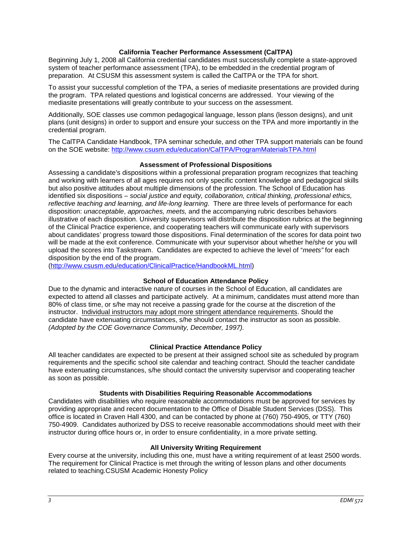### **California Teacher Performance Assessment (CalTPA)**

Beginning July 1, 2008 all California credential candidates must successfully complete a state-approved system of teacher performance assessment (TPA), to be embedded in the credential program of preparation. At CSUSM this assessment system is called the CalTPA or the TPA for short.

To assist your successful completion of the TPA, a series of mediasite presentations are provided during the program. TPA related questions and logistical concerns are addressed. Your viewing of the mediasite presentations will greatly contribute to your success on the assessment.

Additionally, SOE classes use common pedagogical language, lesson plans (lesson designs), and unit plans (unit designs) in order to support and ensure your success on the TPA and more importantly in the credential program.

The CalTPA Candidate Handbook, TPA seminar schedule, and other TPA support materials can be found on the SOE website:<http://www.csusm.edu/education/CalTPA/ProgramMaterialsTPA.html>

### **Assessment of Professional Dispositions**

Assessing a candidate's dispositions within a professional preparation program recognizes that teaching and working with learners of all ages requires not only specific content knowledge and pedagogical skills but also positive attitudes about multiple dimensions of the profession. The School of Education has identified six dispositions – *social justice and equity, collaboration, critical thinking, professional ethics, reflective teaching and learning, and life-long learning*. There are three levels of performance for each disposition: *unacceptable*, *approaches, meets,* and the accompanying rubric describes behaviors illustrative of each disposition. University supervisors will distribute the disposition rubrics at the beginning of the Clinical Practice experience, and cooperating teachers will communicate early with supervisors about candidates' progress toward those dispositions. Final determination of the scores for data point two will be made at the exit conference. Communicate with your supervisor about whether he/she or you will upload the scores into Taskstream. Candidates are expected to achieve the level of "*meets"* for each disposition by the end of the program.

[\(http://www.csusm.edu/education/ClinicalPractice/HandbookML.html\)](http://www.csusm.edu/education/ClinicalPractice/HandbookML.html)

## **School of Education Attendance Policy**

Due to the dynamic and interactive nature of courses in the School of Education, all candidates are expected to attend all classes and participate actively. At a minimum, candidates must attend more than 80% of class time, or s/he may not receive a passing grade for the course at the discretion of the instructor. Individual instructors may adopt more stringent attendance requirements. Should the candidate have extenuating circumstances, s/he should contact the instructor as soon as possible. *(Adopted by the COE Governance Community, December, 1997).*

### **Clinical Practice Attendance Policy**

All teacher candidates are expected to be present at their assigned school site as scheduled by program requirements and the specific school site calendar and teaching contract. Should the teacher candidate have extenuating circumstances, s/he should contact the university supervisor and cooperating teacher as soon as possible.

### **Students with Disabilities Requiring Reasonable Accommodations**

Candidates with disabilities who require reasonable accommodations must be approved for services by providing appropriate and recent documentation to the Office of Disable Student Services (DSS). This office is located in Craven Hall 4300, and can be contacted by phone at (760) 750-4905, or TTY (760) 750-4909. Candidates authorized by DSS to receive reasonable accommodations should meet with their instructor during office hours or, in order to ensure confidentiality, in a more private setting.

## **All University Writing Requirement**

Every course at the university, including this one, must have a writing requirement of at least 2500 words. The requirement for Clinical Practice is met through the writing of lesson plans and other documents related to teaching.CSUSM Academic Honesty Policy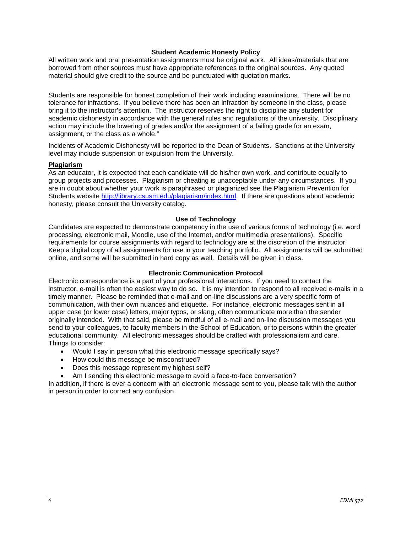### **Student Academic Honesty Policy**

All written work and oral presentation assignments must be original work. All ideas/materials that are borrowed from other sources must have appropriate references to the original sources. Any quoted material should give credit to the source and be punctuated with quotation marks.

Students are responsible for honest completion of their work including examinations. There will be no tolerance for infractions. If you believe there has been an infraction by someone in the class, please bring it to the instructor's attention. The instructor reserves the right to discipline any student for academic dishonesty in accordance with the general rules and regulations of the university. Disciplinary action may include the lowering of grades and/or the assignment of a failing grade for an exam, assignment, or the class as a whole."

Incidents of Academic Dishonesty will be reported to the Dean of Students. Sanctions at the University level may include suspension or expulsion from the University.

#### **Plagiarism**

As an educator, it is expected that each candidate will do his/her own work, and contribute equally to group projects and processes. Plagiarism or cheating is unacceptable under any circumstances. If you are in doubt about whether your work is paraphrased or plagiarized see the Plagiarism Prevention for Students website [http://library.csusm.edu/plagiarism/index.html.](http://library.csusm.edu/plagiarism/index.html) If there are questions about academic honesty, please consult the University catalog.

#### **Use of Technology**

Candidates are expected to demonstrate competency in the use of various forms of technology (i.e. word processing, electronic mail, Moodle, use of the Internet, and/or multimedia presentations). Specific requirements for course assignments with regard to technology are at the discretion of the instructor. Keep a digital copy of all assignments for use in your teaching portfolio. All assignments will be submitted online, and some will be submitted in hard copy as well. Details will be given in class.

### **Electronic Communication Protocol**

Electronic correspondence is a part of your professional interactions. If you need to contact the instructor, e-mail is often the easiest way to do so. It is my intention to respond to all received e-mails in a timely manner. Please be reminded that e-mail and on-line discussions are a very specific form of communication, with their own nuances and etiquette. For instance, electronic messages sent in all upper case (or lower case) letters, major typos, or slang, often communicate more than the sender originally intended. With that said, please be mindful of all e-mail and on-line discussion messages you send to your colleagues, to faculty members in the School of Education, or to persons within the greater educational community. All electronic messages should be crafted with professionalism and care. Things to consider:

- Would I say in person what this electronic message specifically says?
- How could this message be misconstrued?
- Does this message represent my highest self?
- Am I sending this electronic message to avoid a face-to-face conversation?

In addition, if there is ever a concern with an electronic message sent to you, please talk with the author in person in order to correct any confusion.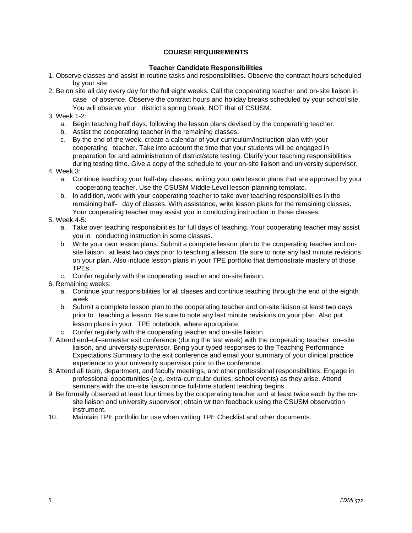# **COURSE REQUIREMENTS**

## **Teacher Candidate Responsibilities**

- 1. Observe classes and assist in routine tasks and responsibilities. Observe the contract hours scheduled by your site.
- 2. Be on site all day every day for the full eight weeks. Call the cooperating teacher and on-site liaison in case of absence. Observe the contract hours and holiday breaks scheduled by your school site. You will observe your district's spring break; NOT that of CSUSM.

# 3. Week 1-2:

- a. Begin teaching half days, following the lesson plans devised by the cooperating teacher.
- b. Assist the cooperating teacher in the remaining classes.
- c. By the end of the week, create a calendar of your curriculum/instruction plan with your cooperating teacher. Take into account the time that your students will be engaged in preparation for and administration of district/state testing. Clarify your teaching responsibilities during testing time. Give a copy of the schedule to your on-site liaison and university supervisor.

## 4. Week 3:

- a. Continue teaching your half-day classes, writing your own lesson plans that are approved by your cooperating teacher. Use the CSUSM Middle Level lesson-planning template.
- b. In addition, work with your cooperating teacher to take over teaching responsibilities in the remaining half- day of classes. With assistance, write lesson plans for the remaining classes. Your cooperating teacher may assist you in conducting instruction in those classes.

## 5. Week 4-5:

- a. Take over teaching responsibilities for full days of teaching. Your cooperating teacher may assist you in conducting instruction in some classes.
- b. Write your own lesson plans. Submit a complete lesson plan to the cooperating teacher and onsite liaison at least two days prior to teaching a lesson. Be sure to note any last minute revisions on your plan. Also include lesson plans in your TPE portfolio that demonstrate mastery of those TPEs.
- c. Confer regularly with the cooperating teacher and on-site liaison.
- 6. Remaining weeks:
	- a. Continue your responsibilities for all classes and continue teaching through the end of the eighth week.
	- b. Submit a complete lesson plan to the cooperating teacher and on-site liaison at least two days prior to teaching a lesson. Be sure to note any last minute revisions on your plan. Also put lesson plans in your TPE notebook, where appropriate.
	- c. Confer regularly with the cooperating teacher and on-site liaison.
- 7. Attend end–of–semester exit conference (during the last week) with the cooperating teacher, on–site liaison, and university supervisor. Bring your typed responses to the Teaching Performance Expectations Summary to the exit conference and email your summary of your clinical practice experience to your university supervisor prior to the conference.
- 8. Attend all team, department, and faculty meetings, and other professional responsibilities. Engage in professional opportunities (e.g. extra-curricular duties, school events) as they arise. Attend seminars with the on–site liaison once full-time student teaching begins.
- 9. Be formally observed at least four times by the cooperating teacher and at least twice each by the onsite liaison and university supervisor; obtain written feedback using the CSUSM observation instrument.
- 10. Maintain TPE portfolio for use when writing TPE Checklist and other documents.